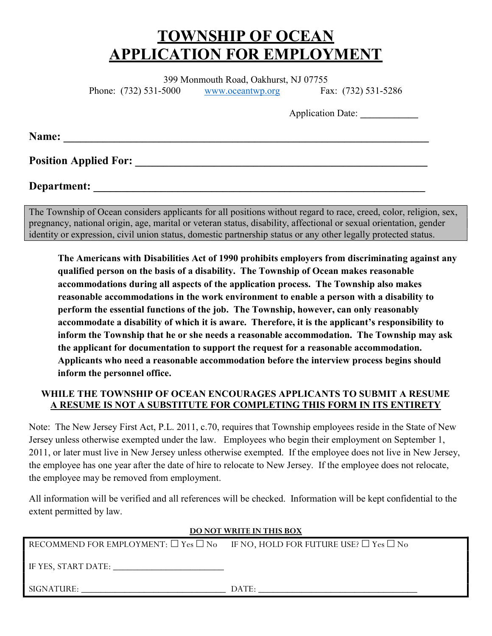# TOWNSHIP OF OCEAN APPLICATION FOR EMPLOYMENT

399 Monmouth Road, Oakhurst, NJ 07755

Phone: (732) 531-5000 www.oceantwp.org Fax: (732) 531-5286

Application Date:

Name: \_\_\_\_\_\_\_\_\_\_\_\_\_\_\_\_\_\_\_\_\_\_\_\_\_\_\_\_\_\_\_\_\_\_\_\_\_\_\_\_\_\_\_\_\_\_\_\_\_\_\_\_\_\_\_\_\_\_\_\_\_\_\_\_\_

Position Applied For: \_\_\_\_\_\_\_\_\_\_\_\_\_\_\_\_\_\_\_\_\_\_\_\_\_\_\_\_\_\_\_\_\_\_\_\_\_\_\_\_\_\_\_\_\_\_\_\_\_\_\_\_

## Department:

The Township of Ocean considers applicants for all positions without regard to race, creed, color, religion, sex, pregnancy, national origin, age, marital or veteran status, disability, affectional or sexual orientation, gender identity or expression, civil union status, domestic partnership status or any other legally protected status.

The Americans with Disabilities Act of 1990 prohibits employers from discriminating against any qualified person on the basis of a disability. The Township of Ocean makes reasonable accommodations during all aspects of the application process. The Township also makes reasonable accommodations in the work environment to enable a person with a disability to perform the essential functions of the job. The Township, however, can only reasonably accommodate a disability of which it is aware. Therefore, it is the applicant's responsibility to inform the Township that he or she needs a reasonable accommodation. The Township may ask the applicant for documentation to support the request for a reasonable accommodation. Applicants who need a reasonable accommodation before the interview process begins should inform the personnel office.

## WHILE THE TOWNSHIP OF OCEAN ENCOURAGES APPLICANTS TO SUBMIT A RESUME A RESUME IS NOT A SUBSTITUTE FOR COMPLETING THIS FORM IN ITS ENTIRETY

Note: The New Jersey First Act, P.L. 2011, c.70, requires that Township employees reside in the State of New Jersey unless otherwise exempted under the law. Employees who begin their employment on September 1, 2011, or later must live in New Jersey unless otherwise exempted. If the employee does not live in New Jersey, the employee has one year after the date of hire to relocate to New Jersey. If the employee does not relocate, the employee may be removed from employment.

All information will be verified and all references will be checked. Information will be kept confidential to the extent permitted by law.

#### DO NOT WRITE IN THIS BOX

| RECOMMEND FOR EMPLOYMENT: $\Box$ Yes $\Box$ No IF NO, HOLD FOR FUTURE USE? $\Box$ Yes $\Box$ No |  |
|-------------------------------------------------------------------------------------------------|--|
|-------------------------------------------------------------------------------------------------|--|

IF YES, START DATE:

SIGNATURE:  $\Box$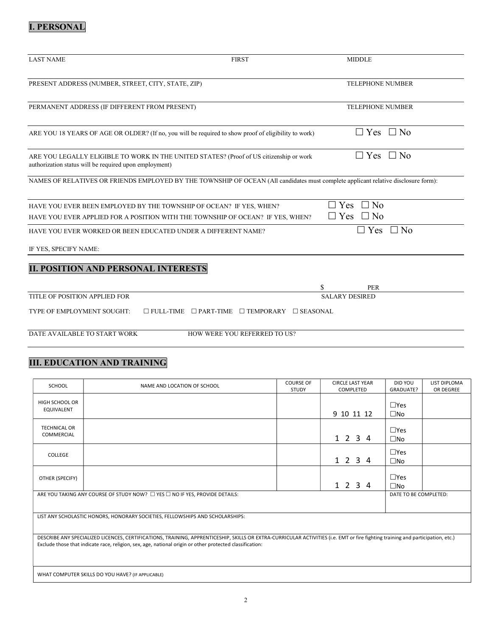## I. PERSONAL

| <b>LAST NAME</b>                                                                                                                                      | <b>FIRST</b>                                                       | <b>MIDDLE</b>                                   |           |
|-------------------------------------------------------------------------------------------------------------------------------------------------------|--------------------------------------------------------------------|-------------------------------------------------|-----------|
| PRESENT ADDRESS (NUMBER, STREET, CITY, STATE, ZIP)                                                                                                    |                                                                    | <b>TELEPHONE NUMBER</b>                         |           |
| PERMANENT ADDRESS (IF DIFFERENT FROM PRESENT)                                                                                                         |                                                                    | <b>TELEPHONE NUMBER</b>                         |           |
| ARE YOU 18 YEARS OF AGE OR OLDER? (If no, you will be required to show proof of eligibility to work)                                                  |                                                                    | $\Box$ Yes $\Box$ No                            |           |
| ARE YOU LEGALLY ELIGIBLE TO WORK IN THE UNITED STATES? (Proof of US citizenship or work<br>authorization status will be required upon employment)     |                                                                    | $\Box$ Yes $\Box$ No                            |           |
| NAMES OF RELATIVES OR FRIENDS EMPLOYED BY THE TOWNSHIP OF OCEAN (All candidates must complete applicant relative disclosure form):                    |                                                                    |                                                 |           |
| HAVE YOU EVER BEEN EMPLOYED BY THE TOWNSHIP OF OCEAN? IF YES, WHEN?<br>HAVE YOU EVER APPLIED FOR A POSITION WITH THE TOWNSHIP OF OCEAN? IF YES, WHEN? |                                                                    | $\Box$ No<br>$\Box$ Yes<br>$\Box$ Yes $\Box$ No |           |
| HAVE YOU EVER WORKED OR BEEN EDUCATED UNDER A DIFFERENT NAME?                                                                                         |                                                                    | $\Box$ Yes                                      | $\Box$ No |
| IF YES, SPECIFY NAME:                                                                                                                                 |                                                                    |                                                 |           |
| <b>II. POSITION AND PERSONAL INTERESTS</b>                                                                                                            |                                                                    |                                                 |           |
|                                                                                                                                                       |                                                                    | \$<br>PER                                       |           |
| TITLE OF POSITION APPLIED FOR                                                                                                                         |                                                                    | <b>SALARY DESIRED</b>                           |           |
| TYPE OF EMPLOYMENT SOUGHT:                                                                                                                            | $\Box$ FULL-TIME $\Box$ PART-TIME $\Box$ TEMPORARY $\Box$ SEASONAL |                                                 |           |
| DATE AVAILABLE TO START WORK                                                                                                                          | HOW WERE YOU REFERRED TO US?                                       |                                                 |           |

## III. EDUCATION AND TRAINING

| <b>SCHOOL</b>                                                                                                                                                                                                                                                                               | NAME AND LOCATION OF SCHOOL                                                           | <b>COURSE OF</b><br><b>STUDY</b> | <b>CIRCLE LAST YEAR</b><br>COMPLETED | DID YOU<br><b>GRADUATE?</b>   | <b>LIST DIPLOMA</b><br>OR DEGREE |
|---------------------------------------------------------------------------------------------------------------------------------------------------------------------------------------------------------------------------------------------------------------------------------------------|---------------------------------------------------------------------------------------|----------------------------------|--------------------------------------|-------------------------------|----------------------------------|
| <b>HIGH SCHOOL OR</b><br>EQUIVALENT                                                                                                                                                                                                                                                         |                                                                                       |                                  | 9 10 11 12                           | $\square$ Yes<br>$\square$ No |                                  |
| <b>TECHNICAL OR</b><br>COMMERCIAL                                                                                                                                                                                                                                                           |                                                                                       |                                  | 1 2 3 4                              | $\square$ Yes<br>$\square$ No |                                  |
| COLLEGE                                                                                                                                                                                                                                                                                     |                                                                                       |                                  | 1 2 3 4                              | $\square$ Yes<br>$\square$ No |                                  |
| OTHER (SPECIFY)                                                                                                                                                                                                                                                                             |                                                                                       |                                  | 1 2 3 4                              | $\Box$ Yes<br>$\square$ No    |                                  |
|                                                                                                                                                                                                                                                                                             | ARE YOU TAKING ANY COURSE OF STUDY NOW? $\Box$ YES $\Box$ NO IF YES, PROVIDE DETAILS: |                                  |                                      | DATE TO BE COMPLETED:         |                                  |
| LIST ANY SCHOLASTIC HONORS, HONORARY SOCIETIES, FELLOWSHIPS AND SCHOLARSHIPS:                                                                                                                                                                                                               |                                                                                       |                                  |                                      |                               |                                  |
| DESCRIBE ANY SPECIALIZED LICENCES, CERTIFICATIONS, TRAINING, APPRENTICESHIP, SKILLS OR EXTRA-CURRICULAR ACTIVITIES (i.e. EMT or fire fighting training and participation, etc.)<br>Exclude those that indicate race, religion, sex, age, national origin or other protected classification: |                                                                                       |                                  |                                      |                               |                                  |
|                                                                                                                                                                                                                                                                                             | WHAT COMPUTER SKILLS DO YOU HAVE? (IF APPLICABLE)                                     |                                  |                                      |                               |                                  |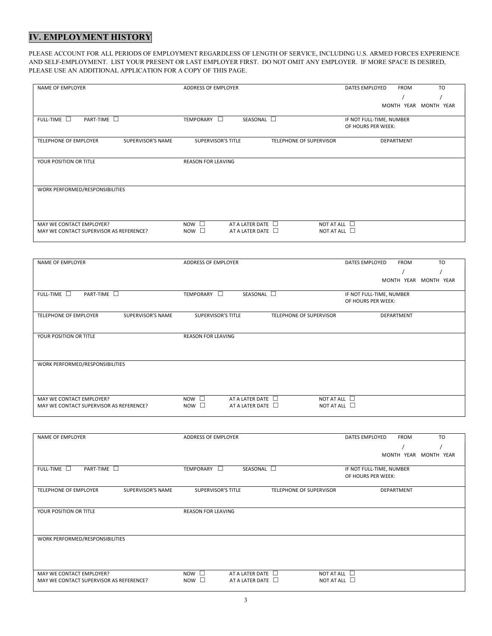## IV. EMPLOYMENT HISTORY

PLEASE ACCOUNT FOR ALL PERIODS OF EMPLOYMENT REGARDLESS OF LENGTH OF SERVICE, INCLUDING U.S. ARMED FORCES EXPERIENCE AND SELF-EMPLOYMENT. LIST YOUR PRESENT OR LAST EMPLOYER FIRST. DO NOT OMIT ANY EMPLOYER. IF MORE SPACE IS DESIRED, PLEASE USE AN ADDITIONAL APPLICATION FOR A COPY OF THIS PAGE.

| <b>NAME OF EMPLOYER</b>                                             | ADDRESS OF EMPLOYER                                                                    | <b>TO</b><br><b>FROM</b><br>DATES EMPLOYED     |
|---------------------------------------------------------------------|----------------------------------------------------------------------------------------|------------------------------------------------|
|                                                                     |                                                                                        |                                                |
|                                                                     |                                                                                        | MONTH YEAR MONTH YEAR                          |
|                                                                     |                                                                                        |                                                |
| FULL-TIME $\square$<br>PART-TIME $\square$                          | TEMPORARY O<br>SEASONAL $\square$                                                      | IF NOT FULL-TIME, NUMBER<br>OF HOURS PER WEEK: |
|                                                                     |                                                                                        |                                                |
| TELEPHONE OF EMPLOYER<br>SUPERVISOR'S NAME                          | <b>SUPERVISOR'S TITLE</b><br>TELEPHONE OF SUPERVISOR                                   | DEPARTMENT                                     |
|                                                                     |                                                                                        |                                                |
| YOUR POSITION OR TITLE                                              | <b>REASON FOR LEAVING</b>                                                              |                                                |
|                                                                     |                                                                                        |                                                |
|                                                                     |                                                                                        |                                                |
|                                                                     |                                                                                        |                                                |
| WORK PERFORMED/RESPONSIBILITIES                                     |                                                                                        |                                                |
|                                                                     |                                                                                        |                                                |
|                                                                     |                                                                                        |                                                |
|                                                                     |                                                                                        |                                                |
| MAY WE CONTACT EMPLOYER?<br>MAY WE CONTACT SUPERVISOR AS REFERENCE? | $NOW$ $\Box$<br>AT A LATER DATE $\Box$<br>$\overline{N}$ NOW $\Box$<br>AT A LATER DATE | NOT AT ALL $\Box$<br>NOT AT ALL $\Box$         |
|                                                                     |                                                                                        |                                                |

| NAME OF EMPLOYER                           | ADDRESS OF EMPLOYER                       |                         | DATES EMPLOYED           | <b>FROM</b>       | <b>TO</b>             |
|--------------------------------------------|-------------------------------------------|-------------------------|--------------------------|-------------------|-----------------------|
|                                            |                                           |                         |                          |                   |                       |
|                                            |                                           |                         |                          |                   | MONTH YEAR MONTH YEAR |
|                                            |                                           |                         |                          |                   |                       |
| FULL-TIME $\square$<br>PART-TIME $\square$ | SEASONAL $\square$<br>TEMPORARY<br>$\Box$ |                         | IF NOT FULL-TIME, NUMBER |                   |                       |
|                                            |                                           |                         | OF HOURS PER WEEK:       |                   |                       |
| TELEPHONE OF EMPLOYER<br>SUPERVISOR'S NAME | <b>SUPERVISOR'S TITLE</b>                 | TELEPHONE OF SUPERVISOR |                          | <b>DEPARTMENT</b> |                       |
|                                            |                                           |                         |                          |                   |                       |
|                                            |                                           |                         |                          |                   |                       |
| YOUR POSITION OR TITLE                     | <b>REASON FOR LEAVING</b>                 |                         |                          |                   |                       |
|                                            |                                           |                         |                          |                   |                       |
|                                            |                                           |                         |                          |                   |                       |
| WORK PERFORMED/RESPONSIBILITIES            |                                           |                         |                          |                   |                       |
|                                            |                                           |                         |                          |                   |                       |
|                                            |                                           |                         |                          |                   |                       |
|                                            |                                           |                         |                          |                   |                       |
| MAY WE CONTACT EMPLOYER?                   | $Now \Box$<br>AT A LATER DATE             | NOT AT ALL $\Box$       |                          |                   |                       |
| MAY WE CONTACT SUPERVISOR AS REFERENCE?    | $Now \Box$<br>AT A LATER DATE $\Box$      | NOT AT ALL $\Box$       |                          |                   |                       |

| NAME OF EMPLOYER                           | ADDRESS OF EMPLOYER                      |                         | DATES EMPLOYED           | <b>FROM</b> | <b>TO</b>             |
|--------------------------------------------|------------------------------------------|-------------------------|--------------------------|-------------|-----------------------|
|                                            |                                          |                         |                          |             |                       |
|                                            |                                          |                         |                          |             | MONTH YEAR MONTH YEAR |
|                                            |                                          |                         |                          |             |                       |
| FULL-TIME $\square$<br>PART-TIME $\square$ | SEASONAL $\square$<br>TEMPORARY <b>D</b> |                         | IF NOT FULL-TIME, NUMBER |             |                       |
|                                            |                                          |                         | OF HOURS PER WEEK:       |             |                       |
| TELEPHONE OF EMPLOYER<br>SUPERVISOR'S NAME | <b>SUPERVISOR'S TITLE</b>                | TELEPHONE OF SUPERVISOR |                          | DEPARTMENT  |                       |
|                                            |                                          |                         |                          |             |                       |
|                                            |                                          |                         |                          |             |                       |
| YOUR POSITION OR TITLE                     | <b>REASON FOR LEAVING</b>                |                         |                          |             |                       |
|                                            |                                          |                         |                          |             |                       |
|                                            |                                          |                         |                          |             |                       |
| WORK PERFORMED/RESPONSIBILITIES            |                                          |                         |                          |             |                       |
|                                            |                                          |                         |                          |             |                       |
|                                            |                                          |                         |                          |             |                       |
|                                            |                                          |                         |                          |             |                       |
| MAY WE CONTACT EMPLOYER?                   | $Now \Box$<br>AT A LATER DATE <b>D</b>   | NOT AT ALL $\Box$       |                          |             |                       |
| MAY WE CONTACT SUPERVISOR AS REFERENCE?    | $Now \Box$<br>AT A LATER DATE            | NOT AT ALL $\Box$       |                          |             |                       |
|                                            |                                          |                         |                          |             |                       |
|                                            |                                          |                         |                          |             |                       |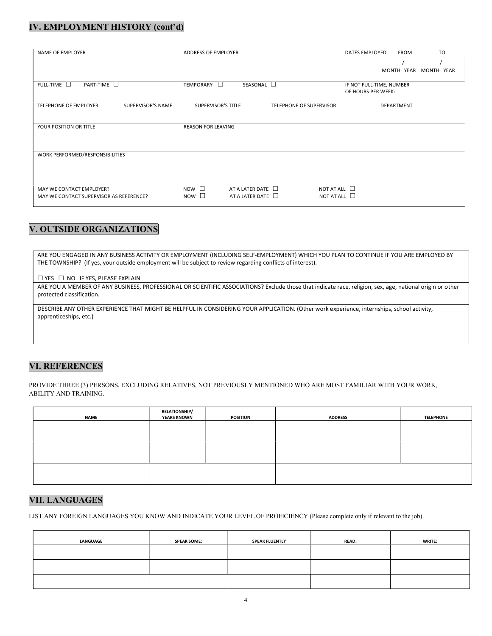#### IV. EMPLOYMENT HISTORY (cont'd)

| NAME OF EMPLOYER                                  | ADDRESS OF EMPLOYER                                         | <b>TO</b><br>DATES EMPLOYED<br><b>FROM</b> |
|---------------------------------------------------|-------------------------------------------------------------|--------------------------------------------|
|                                                   |                                                             |                                            |
|                                                   |                                                             |                                            |
|                                                   |                                                             | MONTH YEAR MONTH YEAR                      |
| FULL-TIME <b>O</b><br>PART-TIME $\square$         | SEASONAL $\square$<br>TEMPORARY<br>$\Box$                   | IF NOT FULL-TIME, NUMBER                   |
|                                                   |                                                             | OF HOURS PER WEEK:                         |
|                                                   |                                                             |                                            |
| <b>TELEPHONE OF EMPLOYER</b><br>SUPERVISOR'S NAME | <b>SUPERVISOR'S TITLE</b><br><b>TELEPHONE OF SUPERVISOR</b> | <b>DEPARTMENT</b>                          |
|                                                   |                                                             |                                            |
|                                                   |                                                             |                                            |
| YOUR POSITION OR TITLE                            | <b>REASON FOR LEAVING</b>                                   |                                            |
|                                                   |                                                             |                                            |
|                                                   |                                                             |                                            |
|                                                   |                                                             |                                            |
| WORK PERFORMED/RESPONSIBILITIES                   |                                                             |                                            |
|                                                   |                                                             |                                            |
|                                                   |                                                             |                                            |
|                                                   |                                                             |                                            |
|                                                   |                                                             |                                            |
| MAY WE CONTACT EMPLOYER?                          | $Now \Box$<br>AT A LATER DATE                               | NOT AT ALL $\Box$                          |
| MAY WE CONTACT SUPERVISOR AS REFERENCE?           | $\overline{N}$ NOW $\Box$<br>AT A LATER DATE                | NOT AT ALL $\Box$                          |
|                                                   |                                                             |                                            |

## V. OUTSIDE ORGANIZATIONS

ARE YOU ENGAGED IN ANY BUSINESS ACTIVITY OR EMPLOYMENT (INCLUDING SELF-EMPLOYMENT) WHICH YOU PLAN TO CONTINUE IF YOU ARE EMPLOYED BY THE TOWNSHIP? (If yes, your outside employment will be subject to review regarding conflicts of interest).

 $\Box$  YES  $\Box$  NO IF YES, PLEASE EXPLAIN

ARE YOU A MEMBER OF ANY BUSINESS, PROFESSIONAL OR SCIENTIFIC ASSOCIATIONS? Exclude those that indicate race, religion, sex, age, national origin or other protected classification.

DESCRIBE ANY OTHER EXPERIENCE THAT MIGHT BE HELPFUL IN CONSIDERING YOUR APPLICATION. (Other work experience, internships, school activity, apprenticeships, etc.)

## VI. REFERENCES

PROVIDE THREE (3) PERSONS, EXCLUDING RELATIVES, NOT PREVIOUSLY MENTIONED WHO ARE MOST FAMILIAR WITH YOUR WORK, ABILITY AND TRAINING.

| <b>NAME</b> | <b>RELATIONSHIP/</b><br><b>YEARS KNOWN</b> | <b>POSITION</b> | <b>ADDRESS</b> | <b>TELEPHONE</b> |
|-------------|--------------------------------------------|-----------------|----------------|------------------|
|             |                                            |                 |                |                  |
|             |                                            |                 |                |                  |
|             |                                            |                 |                |                  |
|             |                                            |                 |                |                  |
|             |                                            |                 |                |                  |
|             |                                            |                 |                |                  |

#### VII. LANGUAGES

LIST ANY FOREIGN LANGUAGES YOU KNOW AND INDICATE YOUR LEVEL OF PROFICIENCY (Please complete only if relevant to the job).

| <b>LANGUAGE</b> | <b>SPEAK SOME:</b> | <b>SPEAK FLUENTLY</b> | <b>READ:</b> | <b>WRITE:</b> |
|-----------------|--------------------|-----------------------|--------------|---------------|
|                 |                    |                       |              |               |
|                 |                    |                       |              |               |
|                 |                    |                       |              |               |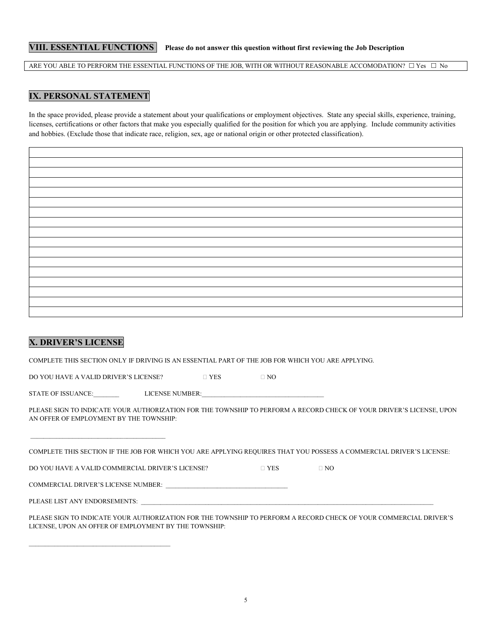#### VIII. ESSENTIAL FUNCTIONS Please do not answer this question without first reviewing the Job Description

ARE YOU ABLE TO PERFORM THE ESSENTIAL FUNCTIONS OF THE JOB, WITH OR WITHOUT REASONABLE ACCOMODATION?  $\Box$  Yes  $\Box$  No

#### IX. PERSONAL STATEMENT

In the space provided, please provide a statement about your qualifications or employment objectives. State any special skills, experience, training, licenses, certifications or other factors that make you especially qualified for the position for which you are applying. Include community activities and hobbies. (Exclude those that indicate race, religion, sex, age or national origin or other protected classification).

| X. DRIVER'S LICENSE |  |
|---------------------|--|

COMPLETE THIS SECTION ONLY IF DRIVING IS AN ESSENTIAL PART OF THE JOB FOR WHICH YOU ARE APPLYING.

DO YOU HAVE A VALID DRIVER'S LICENSE?  $\square$  YES  $\square$  NO

STATE OF ISSUANCE: LICENSE NUMBER:

PLEASE SIGN TO INDICATE YOUR AUTHORIZATION FOR THE TOWNSHIP TO PERFORM A RECORD CHECK OF YOUR DRIVER'S LICENSE, UPON AN OFFER OF EMPLOYMENT BY THE TOWNSHIP:

| COMPLETE THIS SECTION IF THE JOB FOR WHICH YOU ARE APPLYING REQUIRES THAT YOU POSSESS A COMMERCIAL DRIVER'S LICENSE: |
|----------------------------------------------------------------------------------------------------------------------|
|----------------------------------------------------------------------------------------------------------------------|

| DO YOU HAVE A VALID COMMERCIAL DRIVER'S LICENSE? |  |  |
|--------------------------------------------------|--|--|
|--------------------------------------------------|--|--|

COMMERCIAL DRIVER'S LICENSE NUMBER:

PLEASE LIST ANY ENDORSEMENTS:

PLEASE SIGN TO INDICATE YOUR AUTHORIZATION FOR THE TOWNSHIP TO PERFORM A RECORD CHECK OF YOUR COMMERCIAL DRIVER'S LICENSE, UPON AN OFFER OF EMPLOYMENT BY THE TOWNSHIP: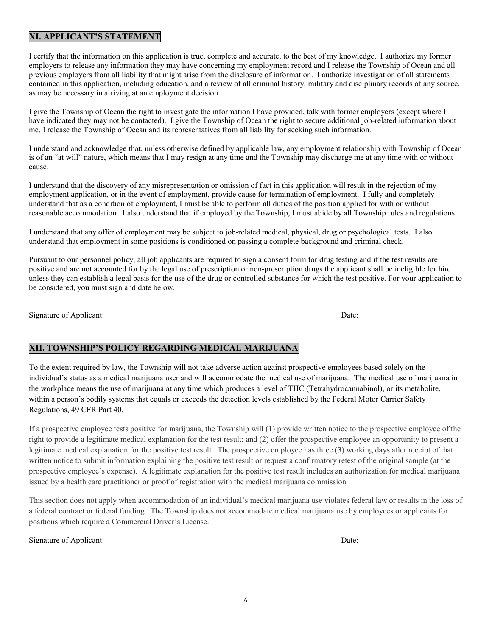## XI. APPLICANT'S STATEMENT

I certify that the information on this application is true, complete and accurate, to the best of my knowledge. I authorize my former employers to release any information they may have concerning my employment record and I release the Township of Ocean and all previous employers from all liability that might arise from the disclosure of information. I authorize investigation of all statements contained in this application, including education, and a review of all criminal history, military and disciplinary records of any source, as may be necessary in arriving at an employment decision.

I give the Township of Ocean the right to investigate the information I have provided, talk with former employers (except where I have indicated they may not be contacted). I give the Township of Ocean the right to secure additional job-related information about me. I release the Township of Ocean and its representatives from all liability for seeking such information.

I understand and acknowledge that, unless otherwise defined by applicable law, any employment relationship with Township of Ocean is of an "at will" nature, which means that I may resign at any time and the Township may discharge me at any time with or without cause.

I understand that the discovery of any misrepresentation or omission of fact in this application will result in the rejection of my employment application, or in the event of employment, provide cause for termination of employment. I fully and completely understand that as a condition of employment, I must be able to perform all duties of the position applied for with or without reasonable accommodation. I also understand that if employed by the Township, I must abide by all Township rules and regulations.

I understand that any offer of employment may be subject to job-related medical, physical, drug or psychological tests. I also understand that employment in some positions is conditioned on passing a complete background and criminal check.

Pursuant to our personnel policy, all job applicants are required to sign a consent form for drug testing and if the test results are positive and are not accounted for by the legal use of prescription or non-prescription drugs the applicant shall be ineligible for hire unless they can establish a legal basis for the use of the drug or controlled substance for which the test positive. For your application to be considered, you must sign and date below.

Signature of Applicant: Date: Date: Date: Date: Date: Date: Date: Date: Date: Date: Date: Date: Date: Date: Date: Date: Date: Date: Date: Date: Date: Date: Date: Date: Date: Date: Date: Date: Date: Date: Date: Date: Date:

#### XII. TOWNSHIP'S POLICY REGARDING MEDICAL MARIJUANA

To the extent required by law, the Township will not take adverse action against prospective employees based solely on the individual's status as a medical marijuana user and will accommodate the medical use of marijuana. The medical use of marijuana in the workplace means the use of marijuana at any time which produces a level of THC (Tetrahydrocannabinol), or its metabolite, within a person's bodily systems that equals or exceeds the detection levels established by the Federal Motor Carrier Safety Regulations, 49 CFR Part 40.

If a prospective employee tests positive for marijuana, the Township will (1) provide written notice to the prospective employee of the right to provide a legitimate medical explanation for the test result; and (2) offer the prospective employee an opportunity to present a legitimate medical explanation for the positive test result. The prospective employee has three (3) working days after receipt of that written notice to submit information explaining the positive test result or request a confirmatory retest of the original sample (at the prospective employee's expense). A legitimate explanation for the positive test result includes an authorization for medical marijuana issued by a health care practitioner or proof of registration with the medical marijuana commission.

This section does not apply when accommodation of an individual's medical marijuana use violates federal law or results in the loss of a federal contract or federal funding. The Township does not accommodate medical marijuana use by employees or applicants for positions which require a Commercial Driver's License.

#### Signature of Applicant: Date: Date: Date: Date: Date: Date: Date: Date: Date: Date: Date: Date: Date: Date: Date: Date: Date: Date: Date: Date: Date: Date: Date: Date: Date: Date: Date: Date: Date: Date: Date: Date: Date: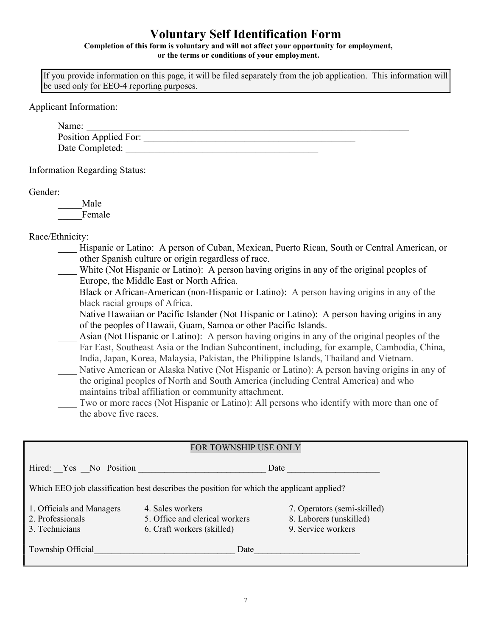## Voluntary Self Identification Form

Completion of this form is voluntary and will not affect your opportunity for employment, or the terms or conditions of your employment.

If you provide information on this page, it will be filed separately from the job application. This information will be used only for EEO-4 reporting purposes.

Applicant Information:

| Name:                 |  |  |  |
|-----------------------|--|--|--|
| Position Applied For: |  |  |  |
| Date Completed:       |  |  |  |

Information Regarding Status:

Gender:

\_\_\_\_\_Male Female

Race/Ethnicity:

- Hispanic or Latino: A person of Cuban, Mexican, Puerto Rican, South or Central American, or other Spanish culture or origin regardless of race.
- White (Not Hispanic or Latino): A person having origins in any of the original peoples of Europe, the Middle East or North Africa.
- Black or African-American (non-Hispanic or Latino): A person having origins in any of the black racial groups of Africa.
- Native Hawaiian or Pacific Islander (Not Hispanic or Latino): A person having origins in any of the peoples of Hawaii, Guam, Samoa or other Pacific Islands.
- \_\_\_\_ Asian (Not Hispanic or Latino): A person having origins in any of the original peoples of the Far East, Southeast Asia or the Indian Subcontinent, including, for example, Cambodia, China, India, Japan, Korea, Malaysia, Pakistan, the Philippine Islands, Thailand and Vietnam.
- Native American or Alaska Native (Not Hispanic or Latino): A person having origins in any of the original peoples of North and South America (including Central America) and who maintains tribal affiliation or community attachment.
- Two or more races (Not Hispanic or Latino): All persons who identify with more than one of the above five races.

| FOR TOWNSHIP USE ONLY                                                                     |                                                                                  |                                                                              |  |  |  |  |
|-------------------------------------------------------------------------------------------|----------------------------------------------------------------------------------|------------------------------------------------------------------------------|--|--|--|--|
| Hired: Yes No Position                                                                    | Date                                                                             |                                                                              |  |  |  |  |
| Which EEO job classification best describes the position for which the applicant applied? |                                                                                  |                                                                              |  |  |  |  |
| 1. Officials and Managers<br>2. Professionals<br>3. Technicians                           | 4. Sales workers<br>5. Office and clerical workers<br>6. Craft workers (skilled) | 7. Operators (semi-skilled)<br>8. Laborers (unskilled)<br>9. Service workers |  |  |  |  |
| Township Official                                                                         | Date                                                                             |                                                                              |  |  |  |  |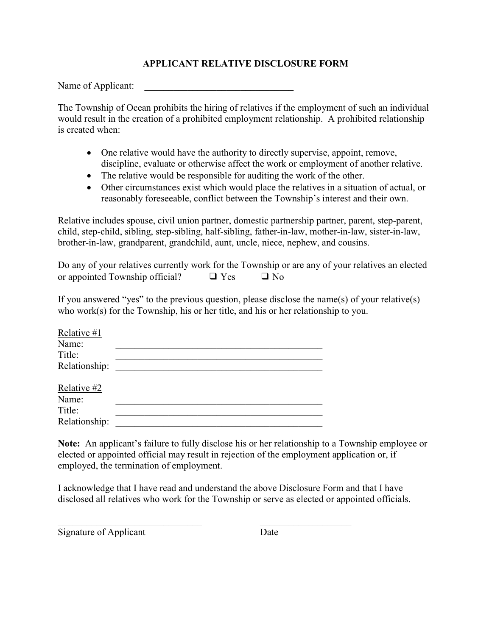## APPLICANT RELATIVE DISCLOSURE FORM

Name of Applicant:

The Township of Ocean prohibits the hiring of relatives if the employment of such an individual would result in the creation of a prohibited employment relationship. A prohibited relationship is created when:

- One relative would have the authority to directly supervise, appoint, remove, discipline, evaluate or otherwise affect the work or employment of another relative.
- The relative would be responsible for auditing the work of the other.
- Other circumstances exist which would place the relatives in a situation of actual, or reasonably foreseeable, conflict between the Township's interest and their own.

Relative includes spouse, civil union partner, domestic partnership partner, parent, step-parent, child, step-child, sibling, step-sibling, half-sibling, father-in-law, mother-in-law, sister-in-law, brother-in-law, grandparent, grandchild, aunt, uncle, niece, nephew, and cousins.

Do any of your relatives currently work for the Township or are any of your relatives an elected or appointed Township official?  $\Box$  Yes  $\Box$  No

If you answered "yes" to the previous question, please disclose the name(s) of your relative(s) who work(s) for the Township, his or her title, and his or her relationship to you.

| Relative #1   |  |
|---------------|--|
| Name:         |  |
| Title:        |  |
| Relationship: |  |
| Relative #2   |  |
| Name:         |  |
| Title:        |  |
| Relationship: |  |

Note: An applicant's failure to fully disclose his or her relationship to a Township employee or elected or appointed official may result in rejection of the employment application or, if employed, the termination of employment.

I acknowledge that I have read and understand the above Disclosure Form and that I have disclosed all relatives who work for the Township or serve as elected or appointed officials.

Signature of Applicant Date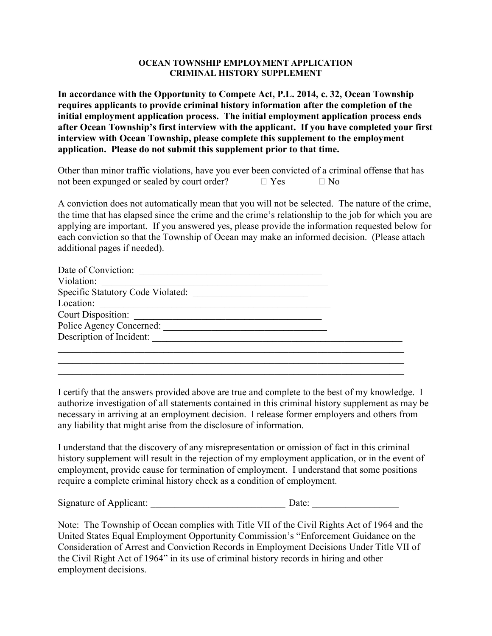#### OCEAN TOWNSHIP EMPLOYMENT APPLICATION CRIMINAL HISTORY SUPPLEMENT

In accordance with the Opportunity to Compete Act, P.L. 2014, c. 32, Ocean Township requires applicants to provide criminal history information after the completion of the initial employment application process. The initial employment application process ends after Ocean Township's first interview with the applicant. If you have completed your first interview with Ocean Township, please complete this supplement to the employment application. Please do not submit this supplement prior to that time.

| Other than minor traffic violations, have you ever been convicted of a criminal offense that has |            |           |  |
|--------------------------------------------------------------------------------------------------|------------|-----------|--|
| not been expunged or sealed by court order?                                                      | $\Box$ Yes | $\Box$ No |  |

A conviction does not automatically mean that you will not be selected. The nature of the crime, the time that has elapsed since the crime and the crime's relationship to the job for which you are applying are important. If you answered yes, please provide the information requested below for each conviction so that the Township of Ocean may make an informed decision. (Please attach additional pages if needed).

| Date of Conviction:               |  |
|-----------------------------------|--|
| Violation:                        |  |
| Specific Statutory Code Violated: |  |
| Location:                         |  |
| <b>Court Disposition:</b>         |  |
| Police Agency Concerned:          |  |
| Description of Incident:          |  |
|                                   |  |
|                                   |  |

I certify that the answers provided above are true and complete to the best of my knowledge. I authorize investigation of all statements contained in this criminal history supplement as may be necessary in arriving at an employment decision. I release former employers and others from any liability that might arise from the disclosure of information.

I understand that the discovery of any misrepresentation or omission of fact in this criminal history supplement will result in the rejection of my employment application, or in the event of employment, provide cause for termination of employment. I understand that some positions require a complete criminal history check as a condition of employment.

Signature of Applicant:  $\Box$  Date:

Note: The Township of Ocean complies with Title VII of the Civil Rights Act of 1964 and the United States Equal Employment Opportunity Commission's "Enforcement Guidance on the Consideration of Arrest and Conviction Records in Employment Decisions Under Title VII of the Civil Right Act of 1964" in its use of criminal history records in hiring and other employment decisions.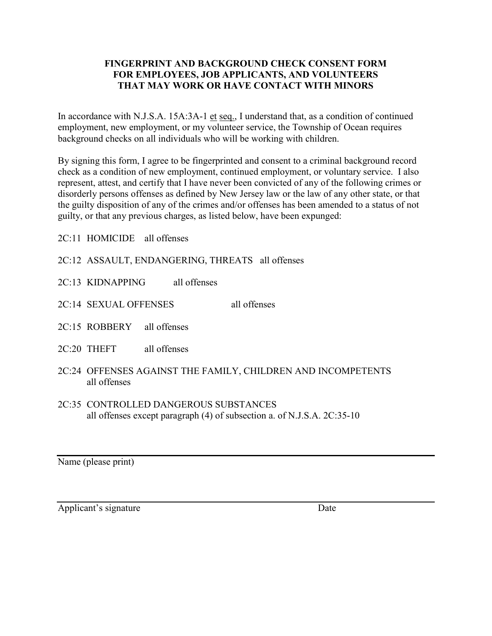## FINGERPRINT AND BACKGROUND CHECK CONSENT FORM FOR EMPLOYEES, JOB APPLICANTS, AND VOLUNTEERS THAT MAY WORK OR HAVE CONTACT WITH MINORS

In accordance with N.J.S.A. 15A:3A-1 et seq., I understand that, as a condition of continued employment, new employment, or my volunteer service, the Township of Ocean requires background checks on all individuals who will be working with children.

By signing this form, I agree to be fingerprinted and consent to a criminal background record check as a condition of new employment, continued employment, or voluntary service. I also represent, attest, and certify that I have never been convicted of any of the following crimes or disorderly persons offenses as defined by New Jersey law or the law of any other state, or that the guilty disposition of any of the crimes and/or offenses has been amended to a status of not guilty, or that any previous charges, as listed below, have been expunged:

2C:11 HOMICIDE all offenses

2C:12 ASSAULT, ENDANGERING, THREATS all offenses

2C:13 KIDNAPPING all offenses

2C:14 SEXUAL OFFENSES all offenses

- 2C:15 ROBBERY all offenses
- 2C:20 THEFT all offenses
- 2C:24 OFFENSES AGAINST THE FAMILY, CHILDREN AND INCOMPETENTS all offenses
- 2C:35 CONTROLLED DANGEROUS SUBSTANCES all offenses except paragraph (4) of subsection a. of N.J.S.A. 2C:35-10

Name (please print)

Applicant's signature Date